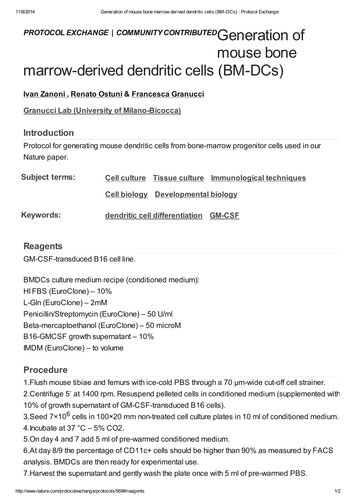# PROTOCOL EXCHANGE | COMMUNITY CONTRIBUTED Generation of mouse bone marrow-derived dendritic cells (BM-DCs)

## Ivan [Zanoni](javascript:;) , [Renato](javascript:;) Ostuni & [Francesca](javascript:;) Granucci

Granucci Lab (University of [Milano-Bicocca\)](http://www.nature.com/protocolexchange/labgroups/360)

#### Introduction

Protocol for generating mouse dendritic cells from bone-marrow progenitor cells used in our Nature paper.

| <b>Subject terms:</b> |                                           | Cell culture Tissue culture Immunological techniques |
|-----------------------|-------------------------------------------|------------------------------------------------------|
|                       | <b>Cell biology</b> Developmental biology |                                                      |
| <b>Keywords:</b>      | dendritic cell differentiation GM-CSF     |                                                      |

## **[Reagents](javascript:;)**

GM-CSF-transduced B16 cell line.

BMDCs culture medium recipe (conditioned medium): HI FBS (EuroClone) – 10% L-Gln (EuroClone) – 2mM Penicillin/Streptomycin (EuroClone) – 50 U/ml Beta-mercaptoethanol (EuroClone) – 50 microM B16-GMCSF growth supernatant – 10% IMDM (EuroClone) – to volume

# [Procedure](javascript:;)

1.Flush mouse tibiae and femurs with ice-cold PBS through a 70 μm-wide cut-off cell strainer.

2.Centrifuge 5' at 1400 rpm. Resuspend pelleted cells in conditioned medium (supplemented with 10% of growth supernatant of GM-CSF-transduced B16 cells).

3.Seed 7×10<sup>6</sup> cells in 100×20 mm non-treated cell culture plates in 10 ml of conditioned medium. 4. Incubate at 37  $^{\circ}$ C – 5% CO2.

5.On day 4 and 7 add 5 ml of pre-warmed conditioned medium.

6.At day 8/9 the percentage of CD11c+ cells should be higher than 90% as measured by FACS analysis. BMDCs are then ready for experimental use.

7.Harvest the supernatant and gently wash the plate once with 5 ml of pre-warmed PBS.